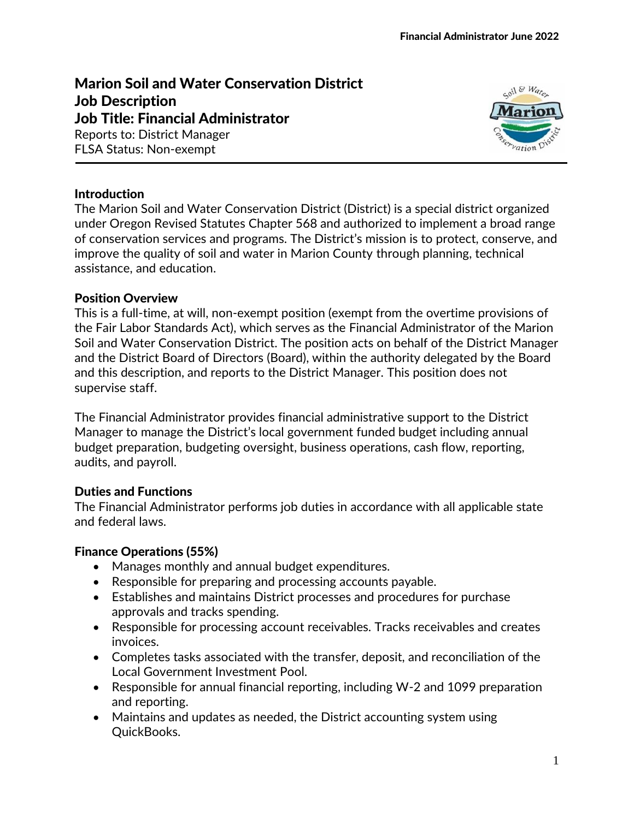# Marion Soil and Water Conservation District Job Description Job Title: Financial Administrator

Reports to: District Manager FLSA Status: Non-exempt



#### **Introduction**

The Marion Soil and Water Conservation District (District) is a special district organized under Oregon Revised Statutes Chapter 568 and authorized to implement a broad range of conservation services and programs. The District's mission is to protect, conserve, and improve the quality of soil and water in Marion County through planning, technical assistance, and education.

#### Position Overview

This is a full-time, at will, non-exempt position (exempt from the overtime provisions of the Fair Labor Standards Act), which serves as the Financial Administrator of the Marion Soil and Water Conservation District. The position acts on behalf of the District Manager and the District Board of Directors (Board), within the authority delegated by the Board and this description, and reports to the District Manager. This position does not supervise staff.

The Financial Administrator provides financial administrative support to the District Manager to manage the District's local government funded budget including annual budget preparation, budgeting oversight, business operations, cash flow, reporting, audits, and payroll.

### Duties and Functions

The Financial Administrator performs job duties in accordance with all applicable state and federal laws.

#### Finance Operations (55%)

- Manages monthly and annual budget expenditures.
- Responsible for preparing and processing accounts payable.
- Establishes and maintains District processes and procedures for purchase approvals and tracks spending.
- Responsible for processing account receivables. Tracks receivables and creates invoices.
- Completes tasks associated with the transfer, deposit, and reconciliation of the Local Government Investment Pool.
- Responsible for annual financial reporting, including W-2 and 1099 preparation and reporting.
- Maintains and updates as needed, the District accounting system using QuickBooks.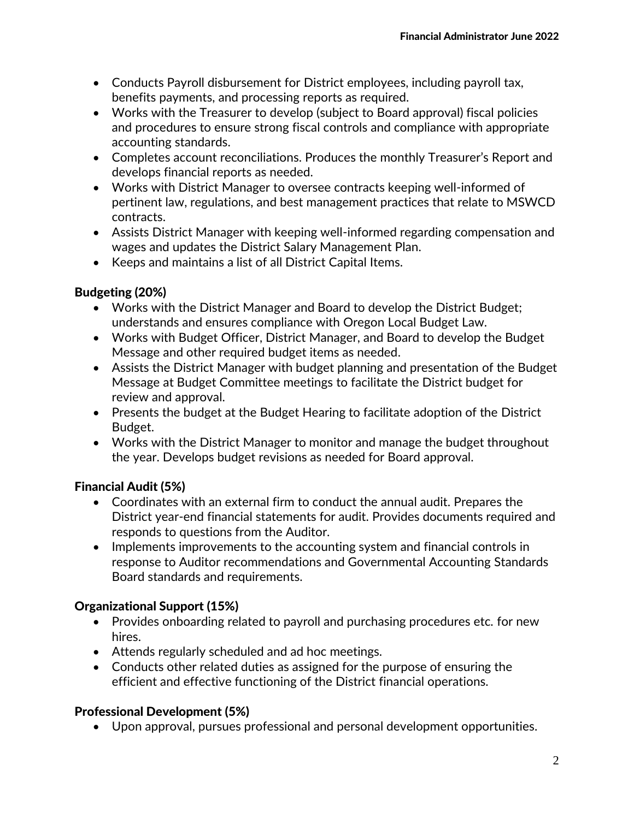- Conducts Payroll disbursement for District employees, including payroll tax, benefits payments, and processing reports as required.
- Works with the Treasurer to develop (subject to Board approval) fiscal policies and procedures to ensure strong fiscal controls and compliance with appropriate accounting standards.
- Completes account reconciliations. Produces the monthly Treasurer's Report and develops financial reports as needed.
- Works with District Manager to oversee contracts keeping well-informed of pertinent law, regulations, and best management practices that relate to MSWCD contracts.
- Assists District Manager with keeping well-informed regarding compensation and wages and updates the District Salary Management Plan.
- Keeps and maintains a list of all District Capital Items.

### Budgeting (20%)

- Works with the District Manager and Board to develop the District Budget; understands and ensures compliance with Oregon Local Budget Law.
- Works with Budget Officer, District Manager, and Board to develop the Budget Message and other required budget items as needed.
- Assists the District Manager with budget planning and presentation of the Budget Message at Budget Committee meetings to facilitate the District budget for review and approval.
- Presents the budget at the Budget Hearing to facilitate adoption of the District Budget.
- Works with the District Manager to monitor and manage the budget throughout the year. Develops budget revisions as needed for Board approval.

# Financial Audit (5%)

- Coordinates with an external firm to conduct the annual audit. Prepares the District year-end financial statements for audit. Provides documents required and responds to questions from the Auditor.
- Implements improvements to the accounting system and financial controls in response to Auditor recommendations and Governmental Accounting Standards Board standards and requirements.

# Organizational Support (15%)

- Provides onboarding related to payroll and purchasing procedures etc. for new hires.
- Attends regularly scheduled and ad hoc meetings.
- Conducts other related duties as assigned for the purpose of ensuring the efficient and effective functioning of the District financial operations.

# Professional Development (5%)

• Upon approval, pursues professional and personal development opportunities.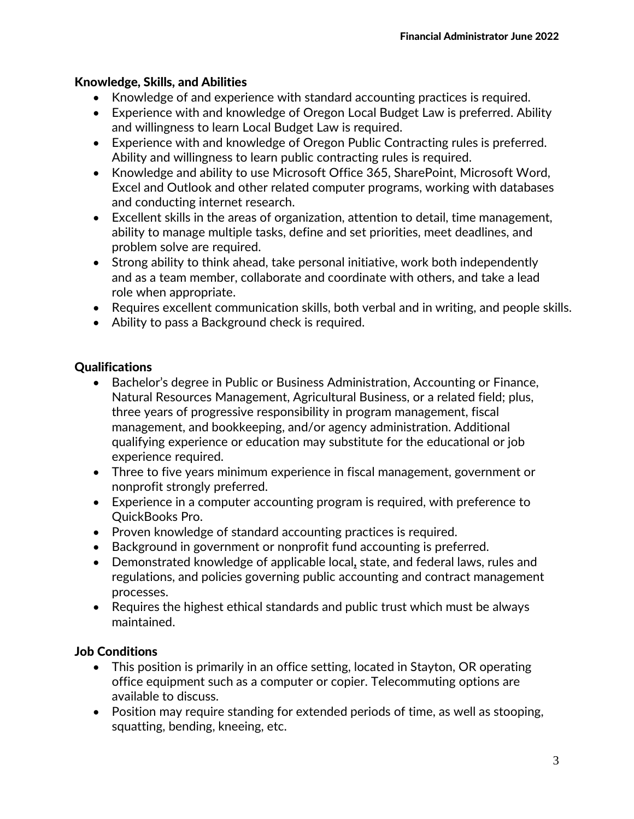### Knowledge, Skills, and Abilities

- Knowledge of and experience with standard accounting practices is required.
- Experience with and knowledge of Oregon Local Budget Law is preferred. Ability and willingness to learn Local Budget Law is required.
- Experience with and knowledge of Oregon Public Contracting rules is preferred. Ability and willingness to learn public contracting rules is required.
- Knowledge and ability to use Microsoft Office 365, SharePoint, Microsoft Word, Excel and Outlook and other related computer programs, working with databases and conducting internet research.
- Excellent skills in the areas of organization, attention to detail, time management, ability to manage multiple tasks, define and set priorities, meet deadlines, and problem solve are required.
- Strong ability to think ahead, take personal initiative, work both independently and as a team member, collaborate and coordinate with others, and take a lead role when appropriate.
- Requires excellent communication skills, both verbal and in writing, and people skills.
- Ability to pass a Background check is required.

# Qualifications

- Bachelor's degree in Public or Business Administration, Accounting or Finance, Natural Resources Management, Agricultural Business, or a related field; plus, three years of progressive responsibility in program management, fiscal management, and bookkeeping, and/or agency administration. Additional qualifying experience or education may substitute for the educational or job experience required.
- Three to five years minimum experience in fiscal management, government or nonprofit strongly preferred.
- Experience in a computer accounting program is required, with preference to QuickBooks Pro.
- Proven knowledge of standard accounting practices is required.
- Background in government or nonprofit fund accounting is preferred.
- Demonstrated knowledge of applicable local**,** state, and federal laws, rules and regulations, and policies governing public accounting and contract management processes.
- Requires the highest ethical standards and public trust which must be always maintained.

### Job Conditions

- This position is primarily in an office setting, located in Stayton, OR operating office equipment such as a computer or copier. Telecommuting options are available to discuss.
- Position may require standing for extended periods of time, as well as stooping, squatting, bending, kneeing, etc.